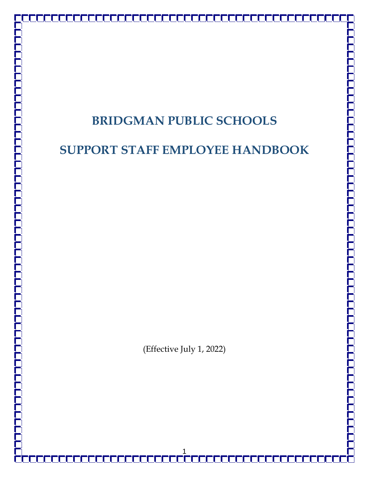# **BRIDGMAN PUBLIC SCHOOLS**

## **SUPPORT STAFF EMPLOYEE HANDBOOK**

(Effective July 1, 2022)

1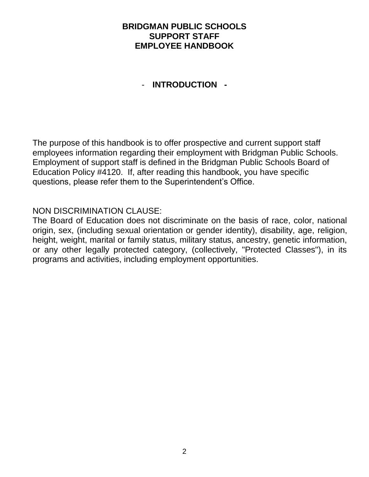## **BRIDGMAN PUBLIC SCHOOLS SUPPORT STAFF EMPLOYEE HANDBOOK**

## - **INTRODUCTION -**

The purpose of this handbook is to offer prospective and current support staff employees information regarding their employment with Bridgman Public Schools. Employment of support staff is defined in the Bridgman Public Schools Board of Education Policy #4120. If, after reading this handbook, you have specific questions, please refer them to the Superintendent's Office.

### NON DISCRIMINATION CLAUSE:

The Board of Education does not discriminate on the basis of race, color, national origin, sex, (including sexual orientation or gender identity), disability, age, religion, height, weight, marital or family status, military status, ancestry, genetic information, or any other legally protected category, (collectively, "Protected Classes"), in its programs and activities, including employment opportunities.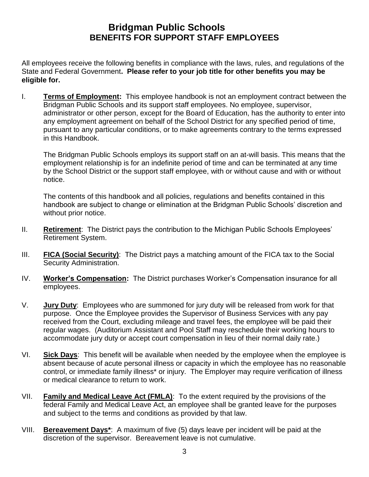## **Bridgman Public Schools BENEFITS FOR SUPPORT STAFF EMPLOYEES**

All employees receive the following benefits in compliance with the laws, rules, and regulations of the State and Federal Government**. Please refer to your job title for other benefits you may be eligible for.**

I. **Terms of Employment:** This employee handbook is not an employment contract between the Bridgman Public Schools and its support staff employees. No employee, supervisor, administrator or other person, except for the Board of Education, has the authority to enter into any employment agreement on behalf of the School District for any specified period of time, pursuant to any particular conditions, or to make agreements contrary to the terms expressed in this Handbook.

The Bridgman Public Schools employs its support staff on an at-will basis. This means that the employment relationship is for an indefinite period of time and can be terminated at any time by the School District or the support staff employee, with or without cause and with or without notice.

The contents of this handbook and all policies, regulations and benefits contained in this handbook are subject to change or elimination at the Bridgman Public Schools' discretion and without prior notice.

- II. **Retirement**: The District pays the contribution to the Michigan Public Schools Employees' Retirement System.
- III. **FICA (Social Security)**: The District pays a matching amount of the FICA tax to the Social Security Administration.
- IV. **Worker's Compensation:** The District purchases Worker's Compensation insurance for all employees.
- V. **Jury Duty**: Employees who are summoned for jury duty will be released from work for that purpose. Once the Employee provides the Supervisor of Business Services with any pay received from the Court, excluding mileage and travel fees, the employee will be paid their regular wages. (Auditorium Assistant and Pool Staff may reschedule their working hours to accommodate jury duty or accept court compensation in lieu of their normal daily rate.)
- VI. **Sick Days**: This benefit will be available when needed by the employee when the employee is absent because of acute personal illness or capacity in which the employee has no reasonable control, or immediate family illness\* or injury. The Employer may require verification of illness or medical clearance to return to work.
- VII. **Family and Medical Leave Act (FMLA)**: To the extent required by the provisions of the federal Family and Medical Leave Act, an employee shall be granted leave for the purposes and subject to the terms and conditions as provided by that law.
- VIII. **Bereavement Days\***: A maximum of five (5) days leave per incident will be paid at the discretion of the supervisor. Bereavement leave is not cumulative.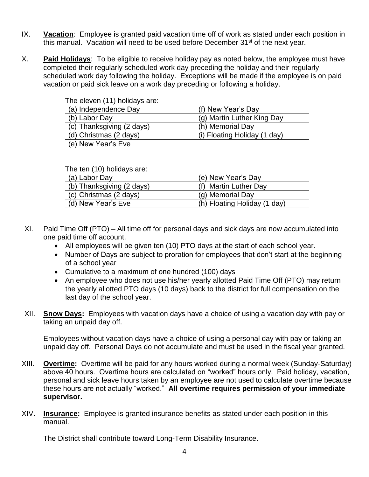- IX. **Vacation**: Employee is granted paid vacation time off of work as stated under each position in this manual. Vacation will need to be used before December  $31<sup>st</sup>$  of the next year.
- X. **Paid Holidays**: To be eligible to receive holiday pay as noted below, the employee must have completed their regularly scheduled work day preceding the holiday and their regularly scheduled work day following the holiday. Exceptions will be made if the employee is on paid vacation or paid sick leave on a work day preceding or following a holiday.

| The eleven (11) holidays are: |                              |
|-------------------------------|------------------------------|
| (a) Independence Day          | (f) New Year's Day           |
| (b) Labor Day                 | (g) Martin Luther King Day   |
| (c) Thanksgiving (2 days)     | (h) Memorial Day             |
| (d) Christmas (2 days)        | (i) Floating Holiday (1 day) |
| (e) New Year's Eve            |                              |

The ten (10) holidays are:

| $1110$ ton the $11011$ though the choice |                              |
|------------------------------------------|------------------------------|
| (a) Labor Day                            | (e) New Year's Day           |
| (b) Thanksgiving (2 days)                | (f) Martin Luther Day        |
| (c) Christmas (2 days)                   | (g) Memorial Day             |
| (d) New Year's Eve                       | (h) Floating Holiday (1 day) |

- XI. Paid Time Off (PTO) All time off for personal days and sick days are now accumulated into one paid time off account.
	- All employees will be given ten (10) PTO days at the start of each school year.
	- Number of Days are subject to proration for employees that don't start at the beginning of a school year
	- Cumulative to a maximum of one hundred (100) days
	- An employee who does not use his/her yearly allotted Paid Time Off (PTO) may return the yearly allotted PTO days (10 days) back to the district for full compensation on the last day of the school year.
- XII. **Snow Days:** Employees with vacation days have a choice of using a vacation day with pay or taking an unpaid day off.

Employees without vacation days have a choice of using a personal day with pay or taking an unpaid day off. Personal Days do not accumulate and must be used in the fiscal year granted.

- XIII. **Overtime:** Overtime will be paid for any hours worked during a normal week (Sunday-Saturday) above 40 hours. Overtime hours are calculated on "worked" hours only. Paid holiday, vacation, personal and sick leave hours taken by an employee are not used to calculate overtime because these hours are not actually "worked." **All overtime requires permission of your immediate supervisor.**
- XIV. **Insurance:** Employee is granted insurance benefits as stated under each position in this manual.

The District shall contribute toward Long-Term Disability Insurance.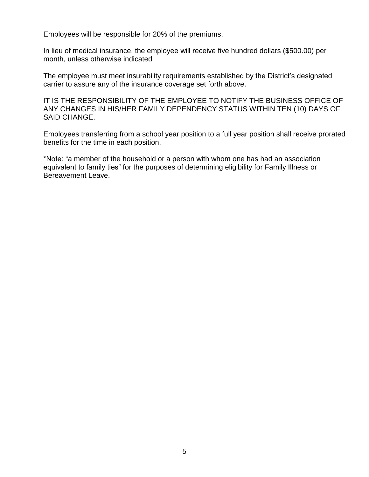Employees will be responsible for 20% of the premiums.

In lieu of medical insurance, the employee will receive five hundred dollars (\$500.00) per month, unless otherwise indicated

The employee must meet insurability requirements established by the District's designated carrier to assure any of the insurance coverage set forth above.

IT IS THE RESPONSIBILITY OF THE EMPLOYEE TO NOTIFY THE BUSINESS OFFICE OF ANY CHANGES IN HIS/HER FAMILY DEPENDENCY STATUS WITHIN TEN (10) DAYS OF SAID CHANGE.

Employees transferring from a school year position to a full year position shall receive prorated benefits for the time in each position.

\*Note: "a member of the household or a person with whom one has had an association equivalent to family ties" for the purposes of determining eligibility for Family Illness or Bereavement Leave.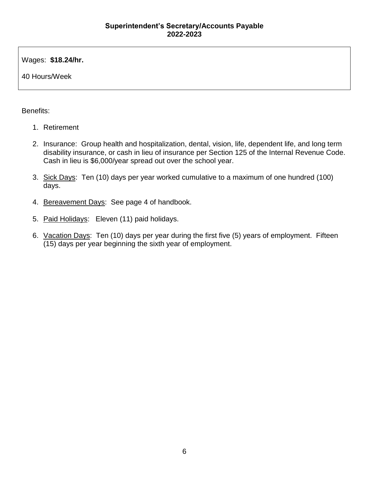Wages: **\$18.24/hr.**

40 Hours/Week

- 1. Retirement
- 2. Insurance: Group health and hospitalization, dental, vision, life, dependent life, and long term disability insurance, or cash in lieu of insurance per Section 125 of the Internal Revenue Code. Cash in lieu is \$6,000/year spread out over the school year.
- 3. Sick Days: Ten (10) days per year worked cumulative to a maximum of one hundred (100) days.
- 4. Bereavement Days: See page 4 of handbook.
- 5. Paid Holidays: Eleven (11) paid holidays.
- 6. Vacation Days: Ten (10) days per year during the first five (5) years of employment. Fifteen (15) days per year beginning the sixth year of employment.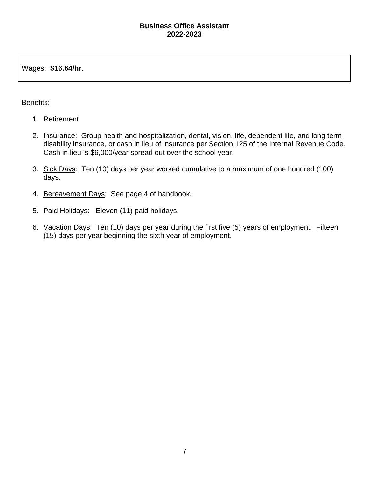#### **Business Office Assistant 2022-2023**

Wages: **\$16.64/hr**.

- 1. Retirement
- 2. Insurance: Group health and hospitalization, dental, vision, life, dependent life, and long term disability insurance, or cash in lieu of insurance per Section 125 of the Internal Revenue Code. Cash in lieu is \$6,000/year spread out over the school year.
- 3. Sick Days: Ten (10) days per year worked cumulative to a maximum of one hundred (100) days.
- 4. Bereavement Days: See page 4 of handbook.
- 5. Paid Holidays: Eleven (11) paid holidays.
- 6. Vacation Days: Ten (10) days per year during the first five (5) years of employment. Fifteen (15) days per year beginning the sixth year of employment.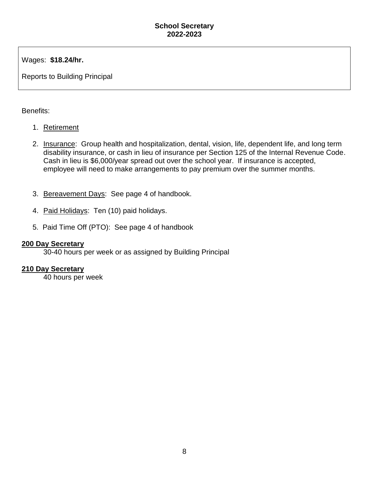Wages: **\$18.24/hr.**

Reports to Building Principal

Benefits:

- 1. Retirement
- 2. Insurance: Group health and hospitalization, dental, vision, life, dependent life, and long term disability insurance, or cash in lieu of insurance per Section 125 of the Internal Revenue Code. Cash in lieu is \$6,000/year spread out over the school year. If insurance is accepted, employee will need to make arrangements to pay premium over the summer months.
- 3. Bereavement Days: See page 4 of handbook.
- 4. Paid Holidays: Ten (10) paid holidays.
- 5. Paid Time Off (PTO): See page 4 of handbook

#### **200 Day Secretary**

30-40 hours per week or as assigned by Building Principal

#### **210 Day Secretary**

40 hours per week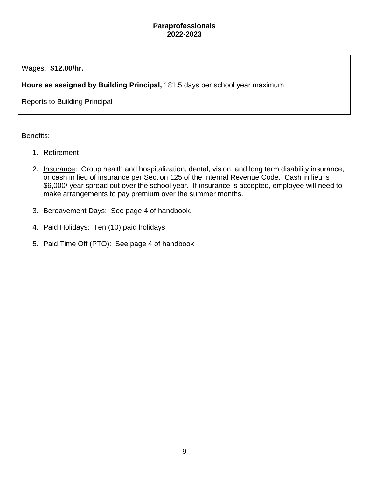#### **Paraprofessionals 2022-2023**

Wages: **\$12.00/hr.**

**Hours as assigned by Building Principal,** 181.5 days per school year maximum

Reports to Building Principal

- 1. Retirement
- 2. Insurance: Group health and hospitalization, dental, vision, and long term disability insurance, or cash in lieu of insurance per Section 125 of the Internal Revenue Code. Cash in lieu is \$6,000/ year spread out over the school year. If insurance is accepted, employee will need to make arrangements to pay premium over the summer months.
- 3. Bereavement Days: See page 4 of handbook.
- 4. Paid Holidays: Ten (10) paid holidays
- 5. Paid Time Off (PTO): See page 4 of handbook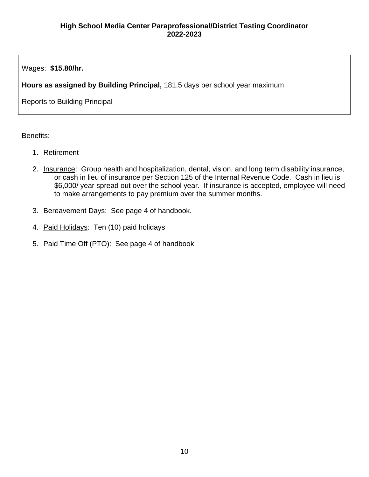Wages: **\$15.80/hr.**

**Hours as assigned by Building Principal,** 181.5 days per school year maximum

Reports to Building Principal

- 1. Retirement
- 2. Insurance: Group health and hospitalization, dental, vision, and long term disability insurance, or cash in lieu of insurance per Section 125 of the Internal Revenue Code. Cash in lieu is \$6,000/ year spread out over the school year. If insurance is accepted, employee will need to make arrangements to pay premium over the summer months.
- 3. Bereavement Days: See page 4 of handbook.
- 4. Paid Holidays: Ten (10) paid holidays
- 5. Paid Time Off (PTO): See page 4 of handbook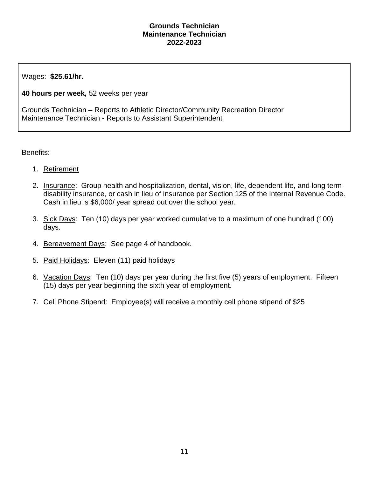#### **Grounds Technician Maintenance Technician 2022-2023**

Wages: **\$25.61/hr.**

**40 hours per week,** 52 weeks per year

Grounds Technician – Reports to Athletic Director/Community Recreation Director Maintenance Technician - Reports to Assistant Superintendent

- 1. Retirement
- 2. Insurance: Group health and hospitalization, dental, vision, life, dependent life, and long term disability insurance, or cash in lieu of insurance per Section 125 of the Internal Revenue Code. Cash in lieu is \$6,000/ year spread out over the school year.
- 3. Sick Days: Ten (10) days per year worked cumulative to a maximum of one hundred (100) days.
- 4. Bereavement Days: See page 4 of handbook.
- 5. Paid Holidays: Eleven (11) paid holidays
- 6. Vacation Days: Ten (10) days per year during the first five (5) years of employment. Fifteen (15) days per year beginning the sixth year of employment.
- 7. Cell Phone Stipend: Employee(s) will receive a monthly cell phone stipend of \$25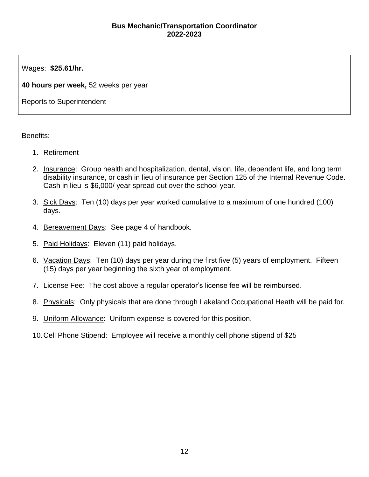#### **Bus Mechanic/Transportation Coordinator 2022-2023**

Wages: **\$25.61/hr.**

**40 hours per week,** 52 weeks per year

Reports to Superintendent

- 1. Retirement
- 2. Insurance: Group health and hospitalization, dental, vision, life, dependent life, and long term disability insurance, or cash in lieu of insurance per Section 125 of the Internal Revenue Code. Cash in lieu is \$6,000/ year spread out over the school year.
- 3. Sick Days: Ten (10) days per year worked cumulative to a maximum of one hundred (100) days.
- 4. Bereavement Days: See page 4 of handbook.
- 5. Paid Holidays: Eleven (11) paid holidays.
- 6. Vacation Days: Ten (10) days per year during the first five (5) years of employment. Fifteen (15) days per year beginning the sixth year of employment.
- 7. License Fee: The cost above a regular operator's license fee will be reimbursed.
- 8. Physicals: Only physicals that are done through Lakeland Occupational Heath will be paid for.
- 9. Uniform Allowance: Uniform expense is covered for this position.
- 10.Cell Phone Stipend: Employee will receive a monthly cell phone stipend of \$25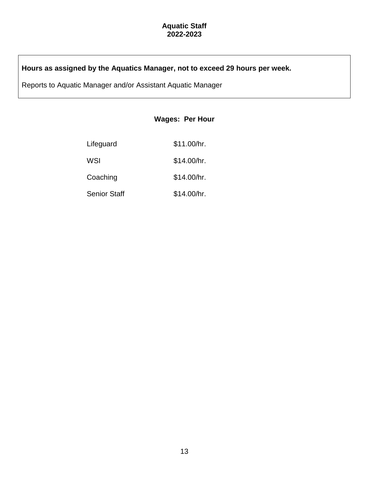#### **Aquatic Staff 2022-2023**

## **Hours as assigned by the Aquatics Manager, not to exceed 29 hours per week.**

Reports to Aquatic Manager and/or Assistant Aquatic Manager

#### **Wages: Per Hour**

| Lifeguard           | \$11.00/hr. |
|---------------------|-------------|
| WSI                 | \$14.00/hr. |
| Coaching            | \$14.00/hr. |
| <b>Senior Staff</b> | \$14.00/hr. |